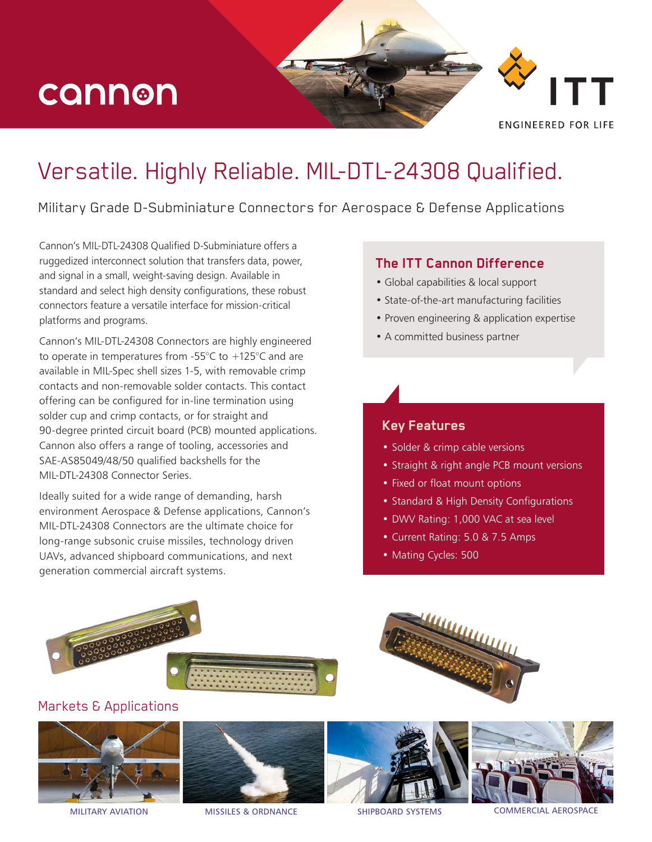# cannon

**FNGINFFRED FOR LIFF** 

### Versatile. Highly Reliable. MIL-DTL-24308 Qualified.

Military Grade D-Subminiature Connectors for Aerospace & Defense Applications

Cannon's MIL-DTL-24308 Qualified D-Subminiature offers a ruggedized interconnect solution that transfers data, power, and signal in a small, weight-saving design. Available in standard and select high density configurations, these robust connectors feature a versatile interface for mission-critical platforms and programs.

Cannon's MIL-DTL-24308 Connectors are highly engineered to operate in temperatures from -55°C to +125°C and are available in MIL-Spec shell sizes 1-5, with removable crimp contacts and non-removable solder contacts. This contact offering can be configured for in-line termination using solder cup and crimp contacts, or for straight and 90-degree printed circuit board (PCB) mounted applications. Cannon also offers a range of tooling, accessories and SAE-AS85049/48/50 qualified backshells for the MIL-DTL-24308 Connector Series.

Ideally suited for a wide range of demanding, harsh environment Aerospace & Defense applications, Cannon's MIL-DTL-24308 Connectors are the ultimate choice for long-range subsonic cruise missiles, technology driven UAVs, advanced shipboard communications, and next generation commercial aircraft systems.

#### **The ITT Cannon Difference**

- Global capabilities & local support
- State-of-the-art manufacturing facilities
- Proven engineering & application expertise
- A committed business partner

#### **Key Features**

- Solder & crimp cable versions
- Straight & right angle PCB mount versions
- Fixed or float mount options
- Standard & High Density Configurations
- DWV Rating: 1,000 VAC at sea level
- Current Rating: 5.0 & 7.5 Amps
- Mating Cycles: 500



### Markets & Applications









MILITARY AVIATION MISSILES & ORDNANCE SHIPBOARD SYSTEMS COMMERCIAL AEROSPACE